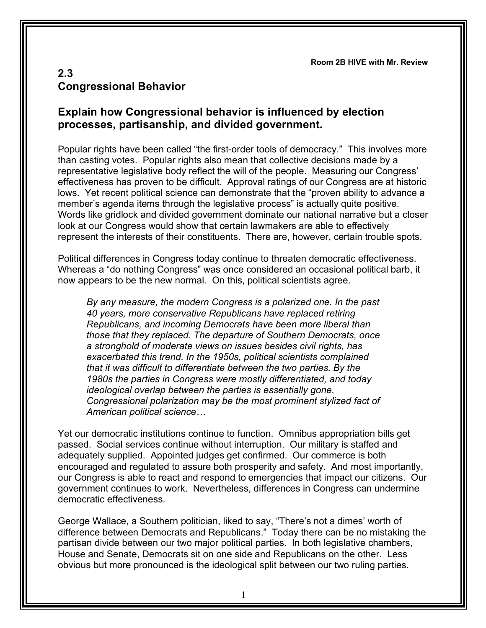**Room 2B HIVE with Mr. Review**

## **2.3 Congressional Behavior**

## **Explain how Congressional behavior is influenced by election processes, partisanship, and divided government.**

Popular rights have been called "the first-order tools of democracy." This involves more than casting votes. Popular rights also mean that collective decisions made by a representative legislative body reflect the will of the people. Measuring our Congress' effectiveness has proven to be difficult. Approval ratings of our Congress are at historic lows. Yet recent political science can demonstrate that the "proven ability to advance a member's agenda items through the legislative process" is actually quite positive. Words like gridlock and divided government dominate our national narrative but a closer look at our Congress would show that certain lawmakers are able to effectively represent the interests of their constituents. There are, however, certain trouble spots.

Political differences in Congress today continue to threaten democratic effectiveness. Whereas a "do nothing Congress" was once considered an occasional political barb, it now appears to be the new normal. On this, political scientists agree.

*By any measure, the modern Congress is a polarized one. In the past 40 years, more conservative Republicans have replaced retiring Republicans, and incoming Democrats have been more liberal than those that they replaced. The departure of Southern Democrats, once a stronghold of moderate views on issues besides civil rights, has exacerbated this trend. In the 1950s, political scientists complained that it was difficult to differentiate between the two parties. By the 1980s the parties in Congress were mostly differentiated, and today ideological overlap between the parties is essentially gone. Congressional polarization may be the most prominent stylized fact of American political science…*

Yet our democratic institutions continue to function. Omnibus appropriation bills get passed. Social services continue without interruption. Our military is staffed and adequately supplied. Appointed judges get confirmed. Our commerce is both encouraged and regulated to assure both prosperity and safety. And most importantly, our Congress is able to react and respond to emergencies that impact our citizens. Our government continues to work. Nevertheless, differences in Congress can undermine democratic effectiveness.

George Wallace, a Southern politician, liked to say, "There's not a dimes' worth of difference between Democrats and Republicans." Today there can be no mistaking the partisan divide between our two major political parties. In both legislative chambers, House and Senate, Democrats sit on one side and Republicans on the other. Less obvious but more pronounced is the ideological split between our two ruling parties.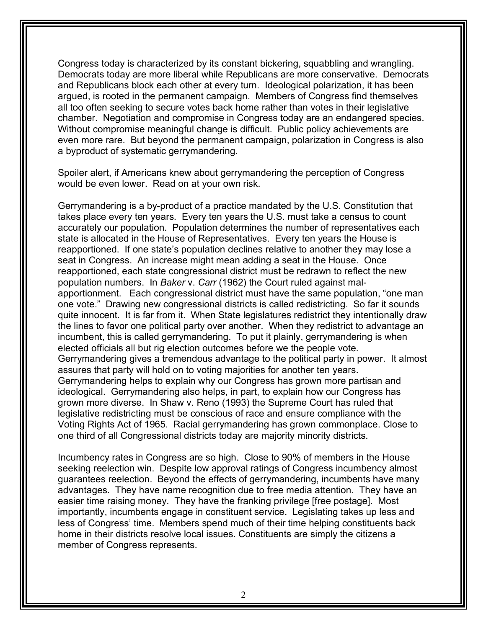Congress today is characterized by its constant bickering, squabbling and wrangling. Democrats today are more liberal while Republicans are more conservative. Democrats and Republicans block each other at every turn. Ideological polarization, it has been argued, is rooted in the permanent campaign. Members of Congress find themselves all too often seeking to secure votes back home rather than votes in their legislative chamber. Negotiation and compromise in Congress today are an endangered species. Without compromise meaningful change is difficult. Public policy achievements are even more rare. But beyond the permanent campaign, polarization in Congress is also a byproduct of systematic gerrymandering.

Spoiler alert, if Americans knew about gerrymandering the perception of Congress would be even lower. Read on at your own risk.

Gerrymandering is a by-product of a practice mandated by the U.S. Constitution that takes place every ten years. Every ten years the U.S. must take a census to count accurately our population. Population determines the number of representatives each state is allocated in the House of Representatives. Every ten years the House is reapportioned. If one state's population declines relative to another they may lose a seat in Congress. An increase might mean adding a seat in the House. Once reapportioned, each state congressional district must be redrawn to reflect the new population numbers. In *Baker* v. *Carr* (1962) the Court ruled against malapportionment. Each congressional district must have the same population, "one man one vote." Drawing new congressional districts is called redistricting. So far it sounds quite innocent. It is far from it. When State legislatures redistrict they intentionally draw the lines to favor one political party over another. When they redistrict to advantage an incumbent, this is called gerrymandering. To put it plainly, gerrymandering is when elected officials all but rig election outcomes before we the people vote. Gerrymandering gives a tremendous advantage to the political party in power. It almost assures that party will hold on to voting majorities for another ten years. Gerrymandering helps to explain why our Congress has grown more partisan and ideological. Gerrymandering also helps, in part, to explain how our Congress has grown more diverse. In Shaw v. Reno (1993) the Supreme Court has ruled that legislative redistricting must be conscious of race and ensure compliance with the Voting Rights Act of 1965. Racial gerrymandering has grown commonplace. Close to one third of all Congressional districts today are majority minority districts.

Incumbency rates in Congress are so high. Close to 90% of members in the House seeking reelection win. Despite low approval ratings of Congress incumbency almost guarantees reelection. Beyond the effects of gerrymandering, incumbents have many advantages. They have name recognition due to free media attention. They have an easier time raising money. They have the franking privilege [free postage]. Most importantly, incumbents engage in constituent service. Legislating takes up less and less of Congress' time. Members spend much of their time helping constituents back home in their districts resolve local issues. Constituents are simply the citizens a member of Congress represents.